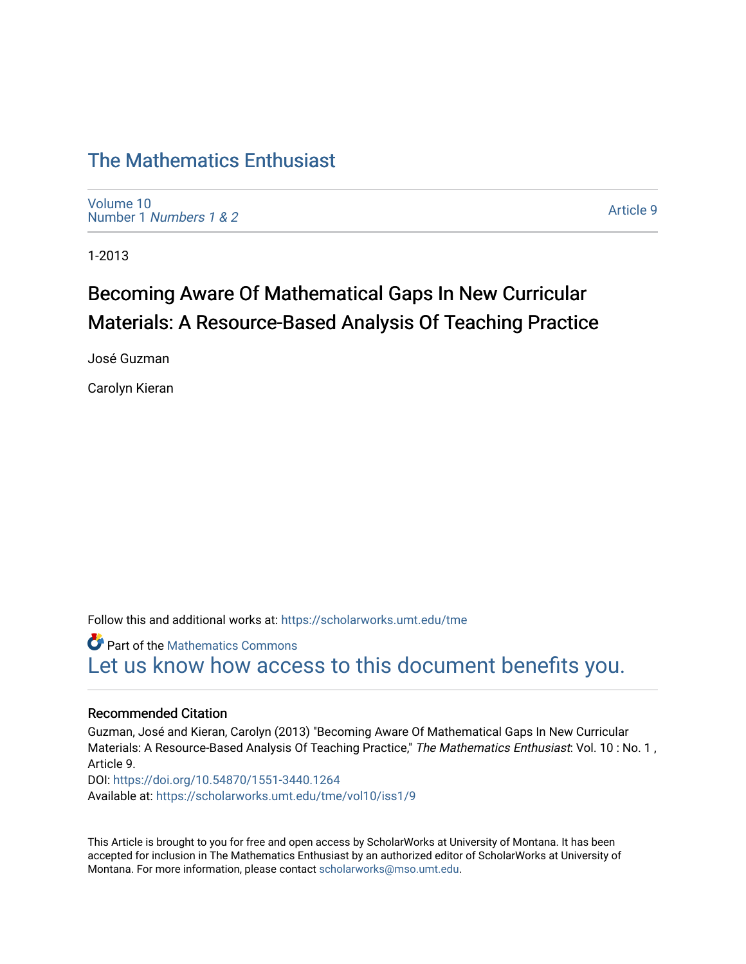## [The Mathematics Enthusiast](https://scholarworks.umt.edu/tme)

[Volume 10](https://scholarworks.umt.edu/tme/vol10) Number 1 [Numbers 1 & 2](https://scholarworks.umt.edu/tme/vol10/iss1)

[Article 9](https://scholarworks.umt.edu/tme/vol10/iss1/9) 

1-2013

# Becoming Aware Of Mathematical Gaps In New Curricular Materials: A Resource-Based Analysis Of Teaching Practice

José Guzman

Carolyn Kieran

Follow this and additional works at: [https://scholarworks.umt.edu/tme](https://scholarworks.umt.edu/tme?utm_source=scholarworks.umt.edu%2Ftme%2Fvol10%2Fiss1%2F9&utm_medium=PDF&utm_campaign=PDFCoverPages) 

**Part of the [Mathematics Commons](http://network.bepress.com/hgg/discipline/174?utm_source=scholarworks.umt.edu%2Ftme%2Fvol10%2Fiss1%2F9&utm_medium=PDF&utm_campaign=PDFCoverPages)** [Let us know how access to this document benefits you.](https://goo.gl/forms/s2rGfXOLzz71qgsB2) 

#### Recommended Citation

Guzman, José and Kieran, Carolyn (2013) "Becoming Aware Of Mathematical Gaps In New Curricular Materials: A Resource-Based Analysis Of Teaching Practice," The Mathematics Enthusiast: Vol. 10 : No. 1, Article 9. DOI:<https://doi.org/10.54870/1551-3440.1264> Available at: [https://scholarworks.umt.edu/tme/vol10/iss1/9](https://scholarworks.umt.edu/tme/vol10/iss1/9?utm_source=scholarworks.umt.edu%2Ftme%2Fvol10%2Fiss1%2F9&utm_medium=PDF&utm_campaign=PDFCoverPages) 

This Article is brought to you for free and open access by ScholarWorks at University of Montana. It has been accepted for inclusion in The Mathematics Enthusiast by an authorized editor of ScholarWorks at University of Montana. For more information, please contact [scholarworks@mso.umt.edu.](mailto:scholarworks@mso.umt.edu)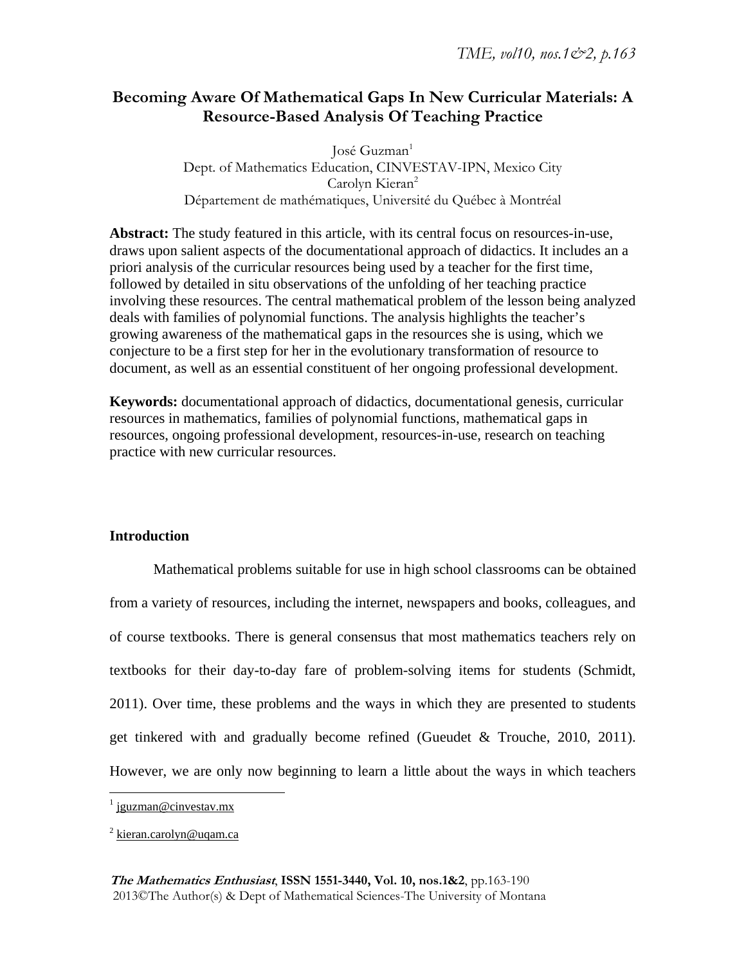## **Becoming Aware Of Mathematical Gaps In New Curricular Materials: A Resource-Based Analysis Of Teaching Practice**

José Guzman<sup>1</sup> Dept. of Mathematics Education, CINVESTAV-IPN, Mexico City Carolyn Kieran<sup>2</sup> Département de mathématiques, Université du Québec à Montréal

**Abstract:** The study featured in this article, with its central focus on resources-in-use, draws upon salient aspects of the documentational approach of didactics. It includes an a priori analysis of the curricular resources being used by a teacher for the first time, followed by detailed in situ observations of the unfolding of her teaching practice involving these resources. The central mathematical problem of the lesson being analyzed deals with families of polynomial functions. The analysis highlights the teacher's growing awareness of the mathematical gaps in the resources she is using, which we conjecture to be a first step for her in the evolutionary transformation of resource to document, as well as an essential constituent of her ongoing professional development.

**Keywords:** documentational approach of didactics, documentational genesis, curricular resources in mathematics, families of polynomial functions, mathematical gaps in resources, ongoing professional development, resources-in-use, research on teaching practice with new curricular resources.

#### **Introduction**

Mathematical problems suitable for use in high school classrooms can be obtained from a variety of resources, including the internet, newspapers and books, colleagues, and of course textbooks. There is general consensus that most mathematics teachers rely on textbooks for their day-to-day fare of problem-solving items for students (Schmidt, 2011). Over time, these problems and the ways in which they are presented to students get tinkered with and gradually become refined (Gueudet & Trouche, 2010, 2011). However, we are only now beginning to learn a little about the ways in which teachers

 $\overline{a}$ 

<sup>&</sup>lt;sup>1</sup> jguzman@cinvestav.mx

<sup>&</sup>lt;sup>2</sup> kieran.carolyn@uqam.ca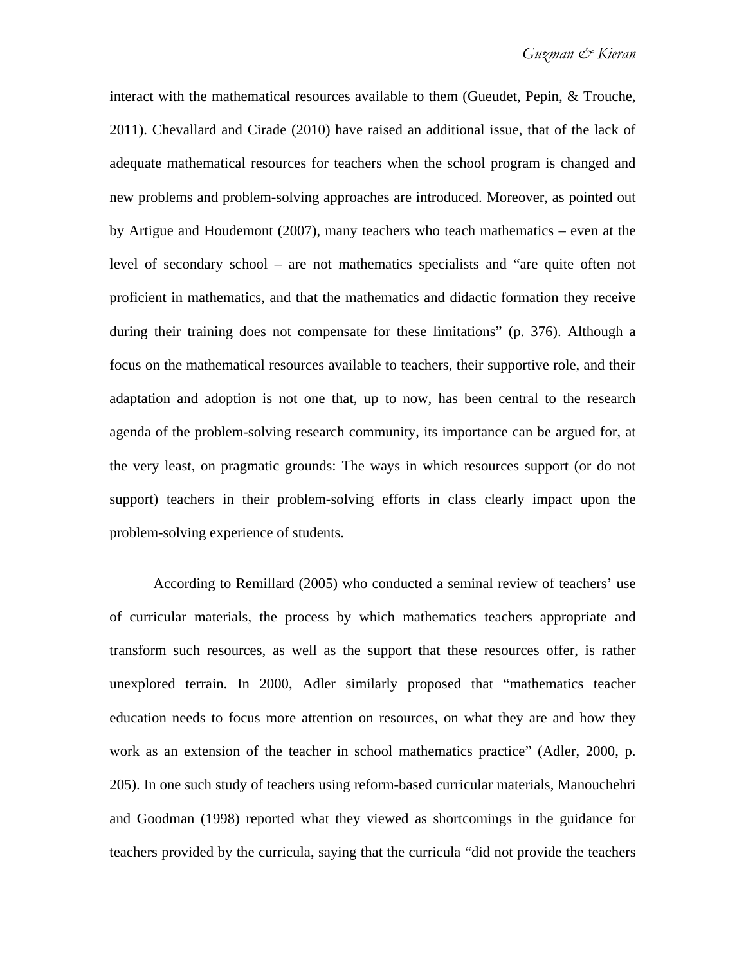interact with the mathematical resources available to them (Gueudet, Pepin, & Trouche, 2011). Chevallard and Cirade (2010) have raised an additional issue, that of the lack of adequate mathematical resources for teachers when the school program is changed and new problems and problem-solving approaches are introduced. Moreover, as pointed out by Artigue and Houdemont (2007), many teachers who teach mathematics – even at the level of secondary school – are not mathematics specialists and "are quite often not proficient in mathematics, and that the mathematics and didactic formation they receive during their training does not compensate for these limitations" (p. 376). Although a focus on the mathematical resources available to teachers, their supportive role, and their adaptation and adoption is not one that, up to now, has been central to the research agenda of the problem-solving research community, its importance can be argued for, at the very least, on pragmatic grounds: The ways in which resources support (or do not support) teachers in their problem-solving efforts in class clearly impact upon the problem-solving experience of students.

According to Remillard (2005) who conducted a seminal review of teachers' use of curricular materials, the process by which mathematics teachers appropriate and transform such resources, as well as the support that these resources offer, is rather unexplored terrain. In 2000, Adler similarly proposed that "mathematics teacher education needs to focus more attention on resources, on what they are and how they work as an extension of the teacher in school mathematics practice" (Adler, 2000, p. 205). In one such study of teachers using reform-based curricular materials, Manouchehri and Goodman (1998) reported what they viewed as shortcomings in the guidance for teachers provided by the curricula, saying that the curricula "did not provide the teachers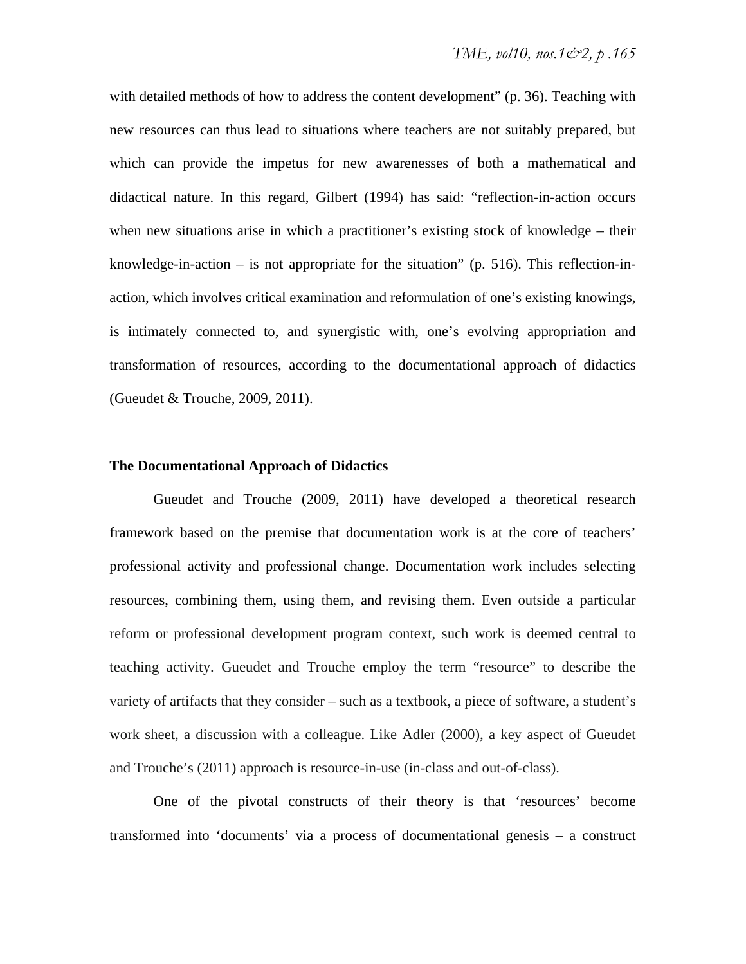with detailed methods of how to address the content development" (p. 36). Teaching with new resources can thus lead to situations where teachers are not suitably prepared, but which can provide the impetus for new awarenesses of both a mathematical and didactical nature. In this regard, Gilbert (1994) has said: "reflection-in-action occurs when new situations arise in which a practitioner's existing stock of knowledge – their knowledge-in-action – is not appropriate for the situation" (p. 516). This reflection-inaction, which involves critical examination and reformulation of one's existing knowings, is intimately connected to, and synergistic with, one's evolving appropriation and transformation of resources, according to the documentational approach of didactics (Gueudet & Trouche, 2009, 2011).

#### **The Documentational Approach of Didactics**

Gueudet and Trouche (2009, 2011) have developed a theoretical research framework based on the premise that documentation work is at the core of teachers' professional activity and professional change. Documentation work includes selecting resources, combining them, using them, and revising them. Even outside a particular reform or professional development program context, such work is deemed central to teaching activity. Gueudet and Trouche employ the term "resource" to describe the variety of artifacts that they consider – such as a textbook, a piece of software, a student's work sheet, a discussion with a colleague. Like Adler (2000), a key aspect of Gueudet and Trouche's (2011) approach is resource-in-use (in-class and out-of-class).

One of the pivotal constructs of their theory is that 'resources' become transformed into 'documents' via a process of documentational genesis – a construct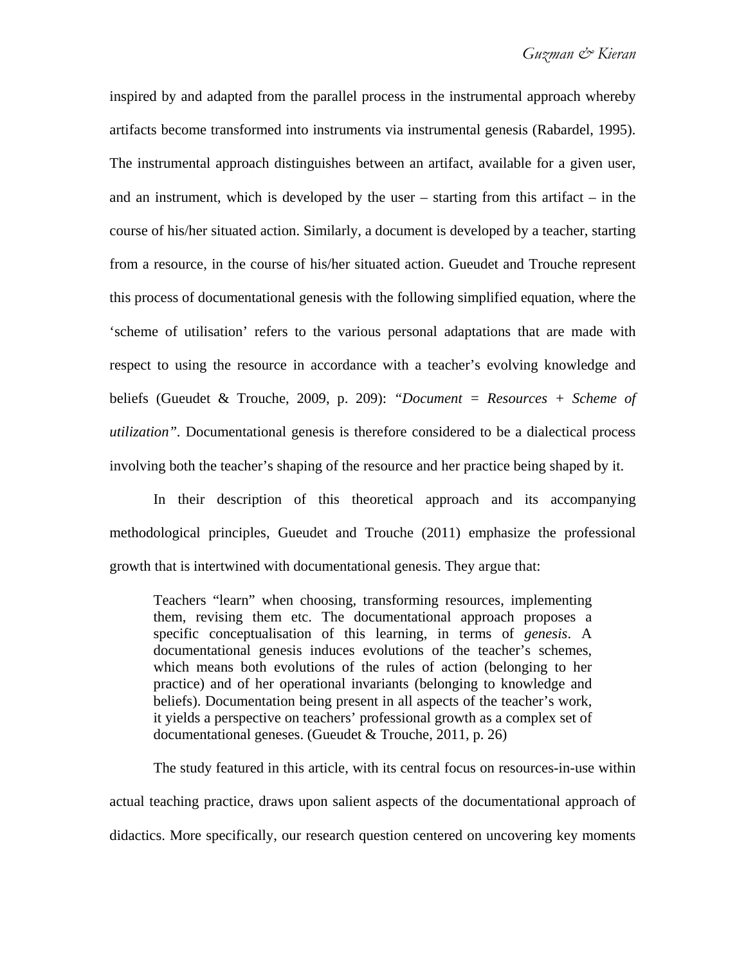inspired by and adapted from the parallel process in the instrumental approach whereby artifacts become transformed into instruments via instrumental genesis (Rabardel, 1995). The instrumental approach distinguishes between an artifact, available for a given user, and an instrument, which is developed by the user – starting from this artifact – in the course of his/her situated action. Similarly, a document is developed by a teacher, starting from a resource, in the course of his/her situated action. Gueudet and Trouche represent this process of documentational genesis with the following simplified equation, where the 'scheme of utilisation' refers to the various personal adaptations that are made with respect to using the resource in accordance with a teacher's evolving knowledge and beliefs (Gueudet & Trouche, 2009, p. 209): *"Document = Resources + Scheme of utilization".* Documentational genesis is therefore considered to be a dialectical process involving both the teacher's shaping of the resource and her practice being shaped by it.

In their description of this theoretical approach and its accompanying methodological principles, Gueudet and Trouche (2011) emphasize the professional growth that is intertwined with documentational genesis. They argue that:

Teachers "learn" when choosing, transforming resources, implementing them, revising them etc. The documentational approach proposes a specific conceptualisation of this learning, in terms of *genesis*. A documentational genesis induces evolutions of the teacher's schemes, which means both evolutions of the rules of action (belonging to her practice) and of her operational invariants (belonging to knowledge and beliefs). Documentation being present in all aspects of the teacher's work, it yields a perspective on teachers' professional growth as a complex set of documentational geneses. (Gueudet & Trouche, 2011, p. 26)

The study featured in this article, with its central focus on resources-in-use within actual teaching practice, draws upon salient aspects of the documentational approach of didactics. More specifically, our research question centered on uncovering key moments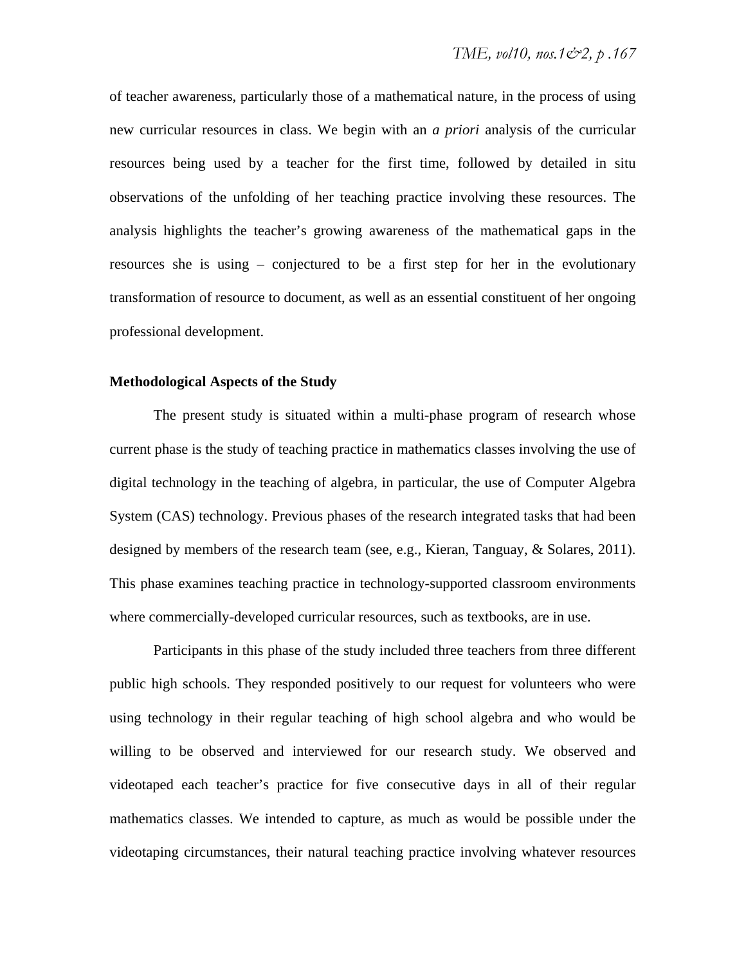of teacher awareness, particularly those of a mathematical nature, in the process of using new curricular resources in class. We begin with an *a priori* analysis of the curricular resources being used by a teacher for the first time, followed by detailed in situ observations of the unfolding of her teaching practice involving these resources. The analysis highlights the teacher's growing awareness of the mathematical gaps in the resources she is using – conjectured to be a first step for her in the evolutionary transformation of resource to document, as well as an essential constituent of her ongoing professional development.

#### **Methodological Aspects of the Study**

The present study is situated within a multi-phase program of research whose current phase is the study of teaching practice in mathematics classes involving the use of digital technology in the teaching of algebra, in particular, the use of Computer Algebra System (CAS) technology. Previous phases of the research integrated tasks that had been designed by members of the research team (see, e.g., Kieran, Tanguay, & Solares, 2011). This phase examines teaching practice in technology-supported classroom environments where commercially-developed curricular resources, such as textbooks, are in use.

Participants in this phase of the study included three teachers from three different public high schools. They responded positively to our request for volunteers who were using technology in their regular teaching of high school algebra and who would be willing to be observed and interviewed for our research study. We observed and videotaped each teacher's practice for five consecutive days in all of their regular mathematics classes. We intended to capture, as much as would be possible under the videotaping circumstances, their natural teaching practice involving whatever resources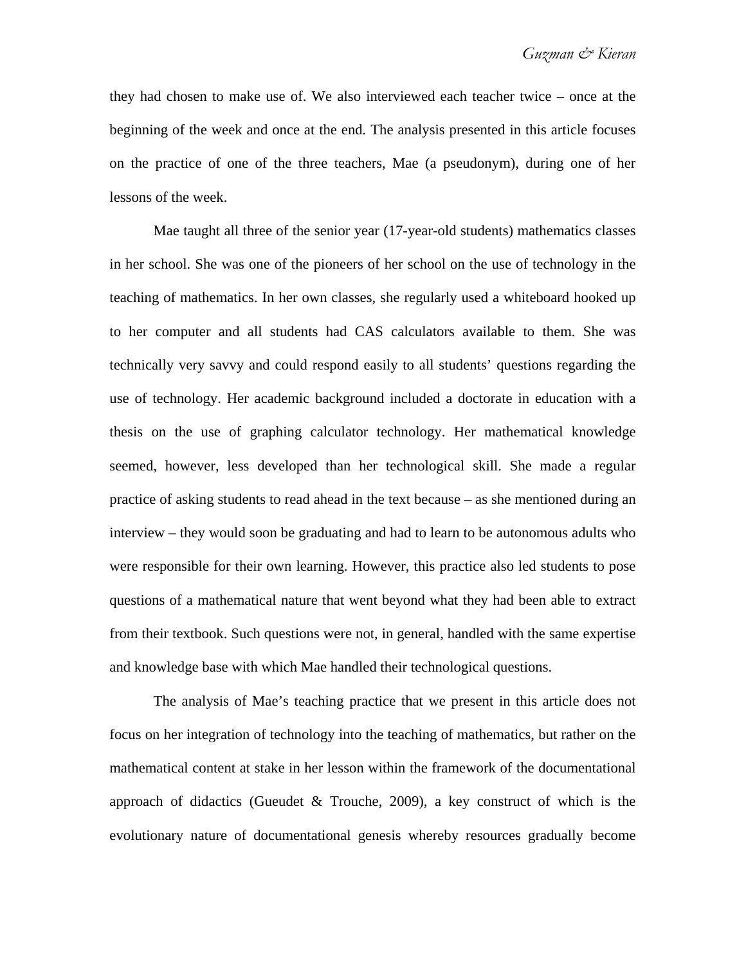they had chosen to make use of. We also interviewed each teacher twice – once at the beginning of the week and once at the end. The analysis presented in this article focuses on the practice of one of the three teachers, Mae (a pseudonym), during one of her lessons of the week.

Mae taught all three of the senior year (17-year-old students) mathematics classes in her school. She was one of the pioneers of her school on the use of technology in the teaching of mathematics. In her own classes, she regularly used a whiteboard hooked up to her computer and all students had CAS calculators available to them. She was technically very savvy and could respond easily to all students' questions regarding the use of technology. Her academic background included a doctorate in education with a thesis on the use of graphing calculator technology. Her mathematical knowledge seemed, however, less developed than her technological skill. She made a regular practice of asking students to read ahead in the text because – as she mentioned during an interview – they would soon be graduating and had to learn to be autonomous adults who were responsible for their own learning. However, this practice also led students to pose questions of a mathematical nature that went beyond what they had been able to extract from their textbook. Such questions were not, in general, handled with the same expertise and knowledge base with which Mae handled their technological questions.

The analysis of Mae's teaching practice that we present in this article does not focus on her integration of technology into the teaching of mathematics, but rather on the mathematical content at stake in her lesson within the framework of the documentational approach of didactics (Gueudet & Trouche, 2009), a key construct of which is the evolutionary nature of documentational genesis whereby resources gradually become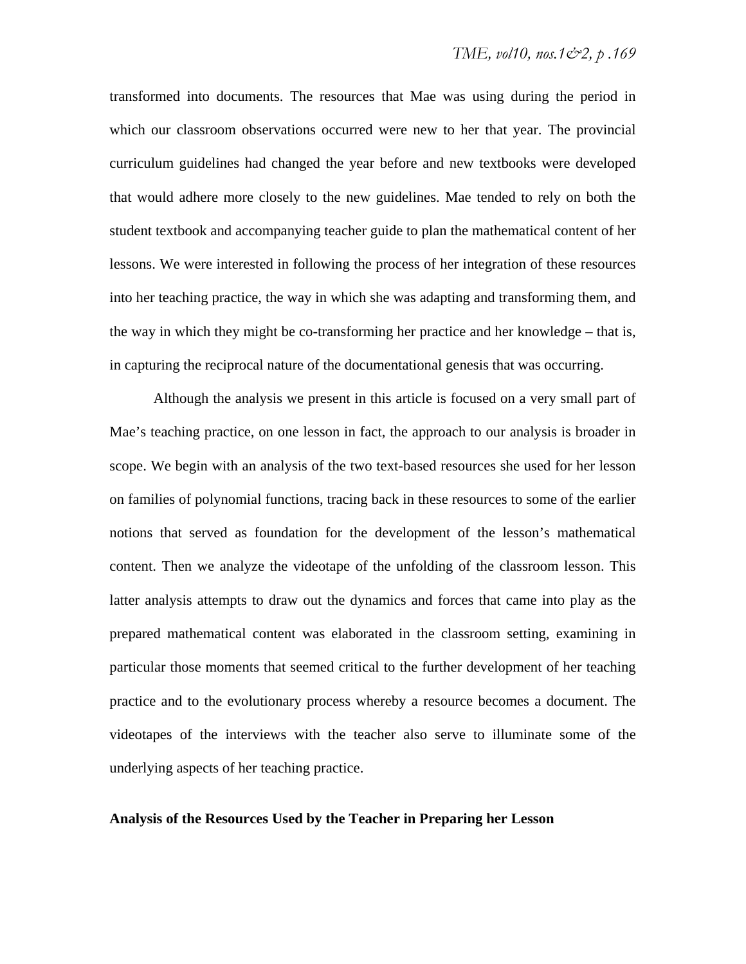transformed into documents. The resources that Mae was using during the period in which our classroom observations occurred were new to her that year. The provincial curriculum guidelines had changed the year before and new textbooks were developed that would adhere more closely to the new guidelines. Mae tended to rely on both the student textbook and accompanying teacher guide to plan the mathematical content of her lessons. We were interested in following the process of her integration of these resources into her teaching practice, the way in which she was adapting and transforming them, and the way in which they might be co-transforming her practice and her knowledge – that is, in capturing the reciprocal nature of the documentational genesis that was occurring.

Although the analysis we present in this article is focused on a very small part of Mae's teaching practice, on one lesson in fact, the approach to our analysis is broader in scope. We begin with an analysis of the two text-based resources she used for her lesson on families of polynomial functions, tracing back in these resources to some of the earlier notions that served as foundation for the development of the lesson's mathematical content. Then we analyze the videotape of the unfolding of the classroom lesson. This latter analysis attempts to draw out the dynamics and forces that came into play as the prepared mathematical content was elaborated in the classroom setting, examining in particular those moments that seemed critical to the further development of her teaching practice and to the evolutionary process whereby a resource becomes a document. The videotapes of the interviews with the teacher also serve to illuminate some of the underlying aspects of her teaching practice.

#### **Analysis of the Resources Used by the Teacher in Preparing her Lesson**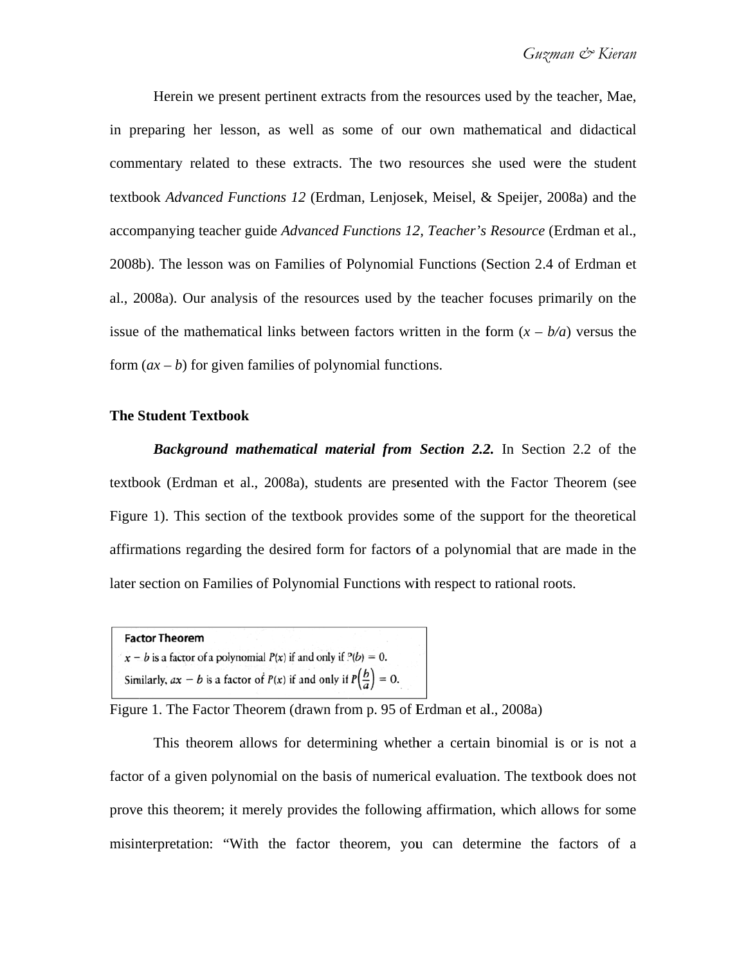in preparing her lesson, as well as some of our own mathematical and didactical commentary related to these extracts. The two resources she used were the student textbook Advanced Functions 12 (Erdman, Lenjosek, Meisel, & Speijer, 2008a) and the accompanying teacher guide Advanced Functions 12, Teacher's Resource (Erdman et al., 2008b). The lesson was on Families of Polynomial Functions (Section 2.4 of Erdman et al., 2008a). Our analysis of the resources used by the teacher focuses primarily on the issue of the mathematical links between factors written in the form  $(x - b/a)$  versus the form  $(ax - b)$  for given families of polynomial functions. Herein we present pertinent extracts from the resources used by the teacher, Mae,

#### **The S Student Tex xtbook**

textbook (Erdman et al., 2008a), students are presented with the Factor Theorem (see Figure 1). This section of the textbook provides some of the support for the theoretical affirmations regarding the desired form for factors of a polynomial that are made in the later section on Families of Polynomial Functions with respect to rational roots. **Background mathematical material from Section 2.2.** In Section 2.2 of the

```
Factor Theorem
x - b is a factor of a polynomial P(x) if and only if P(b) = 0.
Similarly, ax - b is a factor of P(x) if and only if P(\frac{b}{a}) = 0.
```
Figure 1. The Factor Theorem (drawn from p. 95 of Erdman et al., 2008a)

factor of a given polynomial on the basis of numerical evaluation. The textbook does not prove this theorem; it merely provides the following affirmation, which allows for some misinterpretation: "With the factor theorem, you can determine the factors of a This theorem allows for determining whether a certain binomial is or is not a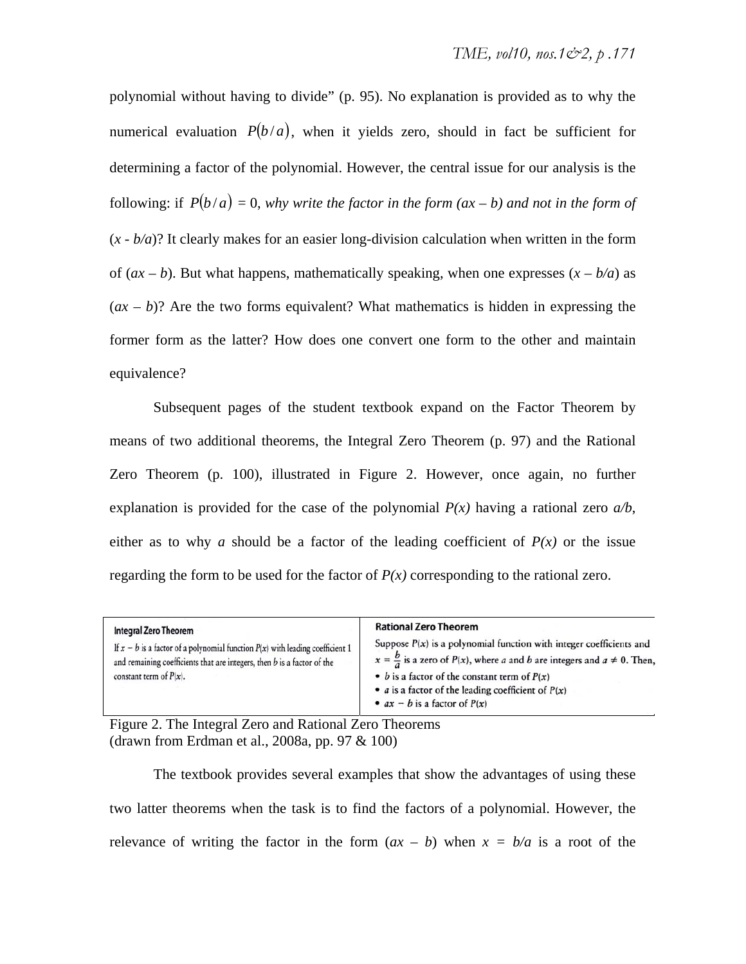polynomial without having to divide" (p. 95). No explanation is provided as to why the numerical evaluation  $P(b/a)$ , when it yields zero, should in fact be sufficient for determining a factor of the polynomial. However, the central issue for our analysis is the following: if  $P(b/a) = 0$ , why write the factor in the form  $(ax - b)$  and not in the form of  $(x - b/a)$ ? It clearly makes for an easier long-division calculation when written in the form of  $(ax - b)$ . But what happens, mathematically speaking, when one expresses  $(x - b/a)$  as  $(ax - b)$ ? Are the two forms equivalent? What mathematics is hidden in expressing the former form as the latter? How does one convert one form to the other and maintain equivalence?

Subsequent pages of the student textbook expand on the Factor Theorem by means of two additional theorems, the Integral Zero Theorem (p. 97) and the Rational Zero Theorem (p. 100), illustrated in Figure 2. However, once again, no further explanation is provided for the case of the polynomial  $P(x)$  having a rational zero  $a/b$ , either as to why *a* should be a factor of the leading coefficient of  $P(x)$  or the issue regarding the form to be used for the factor of  $P(x)$  corresponding to the rational zero.

| <b>Integral Zero Theorem</b>                                                                                                                                                                | <b>Rational Zero Theorem</b>                                                                                                                                                                                                                                                                                                  |
|---------------------------------------------------------------------------------------------------------------------------------------------------------------------------------------------|-------------------------------------------------------------------------------------------------------------------------------------------------------------------------------------------------------------------------------------------------------------------------------------------------------------------------------|
| If $x - b$ is a factor of a polynomial function $P(x)$ with leading coefficient 1<br>and remaining coefficients that are integers, then $b$ is a factor of the<br>constant term of $P(x)$ . | Suppose $P(x)$ is a polynomial function with integer coefficients and<br>$x = \frac{b}{a}$ is a zero of $P(x)$ , where a and b are integers and $a \ne 0$ . Then,<br>• <i>b</i> is a factor of the constant term of $P(x)$<br>• <i>a</i> is a factor of the leading coefficient of $P(x)$<br>• $ax - b$ is a factor of $P(x)$ |

Figure 2. The Integral Zero and Rational Zero Theorems (drawn from Erdman et al., 2008a, pp. 97 & 100)

The textbook provides several examples that show the advantages of using these two latter theorems when the task is to find the factors of a polynomial. However, the relevance of writing the factor in the form  $(ax - b)$  when  $x = b/a$  is a root of the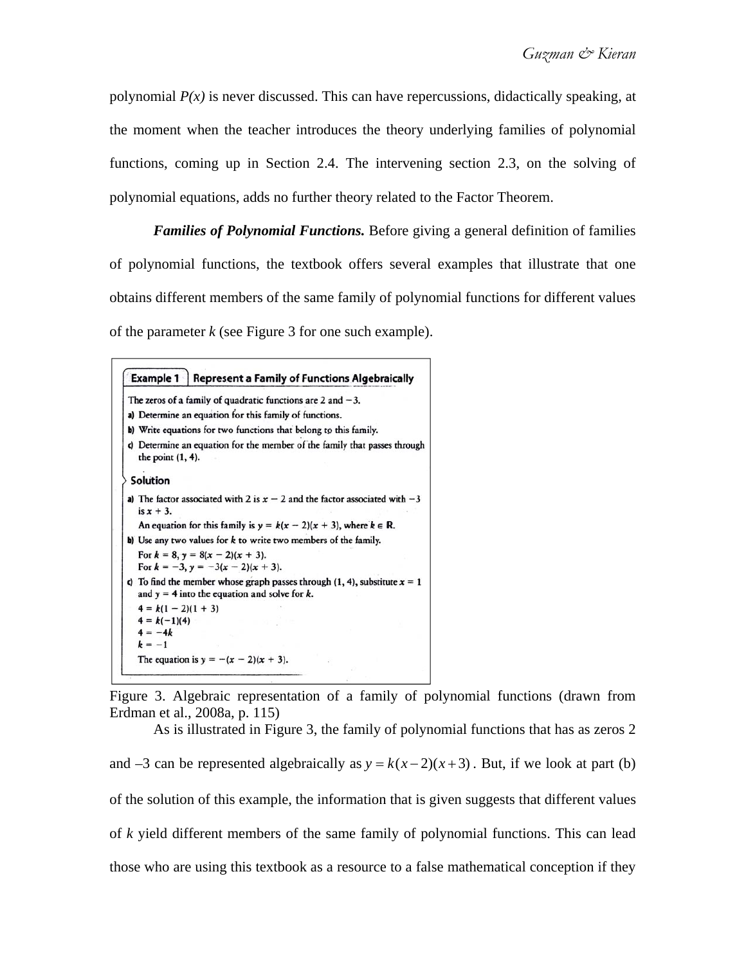polynomial  $P(x)$  is never discussed. This can have repercussions, didactically speaking, at the moment when the teacher introduces the theory underlying families of polynomial functions, coming up in Section 2.4. The intervening section 2.3, on the solving of polynomial equations, adds no further theory related to the Factor Theorem.

*Families of Polynomial Functions.* Before giving a general definition of families of polynomial functions, the textbook offers several examples that illustrate that one obtains different members of the same family of polynomial functions for different values of the parameter *k* (see Figure 3 for one such example).

```
Example 1
               Represent a Family of Functions Algebraically
The zeros of a family of quadratic functions are 2 and -3.
a) Determine an equation for this family of functions.
b) Write equations for two functions that belong to this family.
c) Determine an equation for the member of the family that passes through
  the point (1, 4).
Solution
a) The factor associated with 2 is x - 2 and the factor associated with -3is x + 3.
  An equation for this family is y = k(x - 2)(x + 3), where k \in \mathbb{R}.
b) Use any two values for k to write two members of the family.
  For k = 8, y = 8(x - 2)(x + 3).
  For k = -3, y = -3(x - 2)(x + 3).
c) To find the member whose graph passes through (1, 4), substitute x = 1and y = 4 into the equation and solve for k.
  4 = k(1 - 2)(1 + 3)4 = k(-1)(4)4 = -4kk = -1The equation is y = -(x - 2)(x + 3).
```
Figure 3. Algebraic representation of a family of polynomial functions (drawn from Erdman et al., 2008a, p. 115)

As is illustrated in Figure 3, the family of polynomial functions that has as zeros 2 and  $-3$  can be represented algebraically as  $y = k(x-2)(x+3)$ . But, if we look at part (b) of the solution of this example, the information that is given suggests that different values of *k* yield different members of the same family of polynomial functions. This can lead those who are using this textbook as a resource to a false mathematical conception if they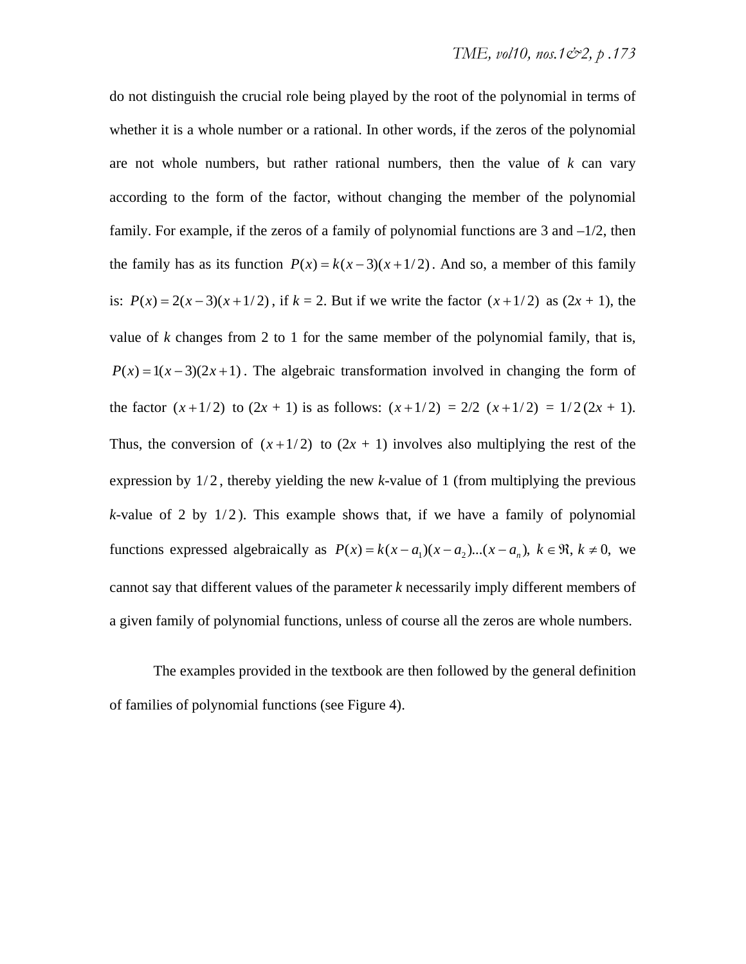do not distinguish the crucial role being played by the root of the polynomial in terms of whether it is a whole number or a rational. In other words, if the zeros of the polynomial are not whole numbers, but rather rational numbers, then the value of *k* can vary according to the form of the factor, without changing the member of the polynomial family. For example, if the zeros of a family of polynomial functions are 3 and  $-1/2$ , then the family has as its function  $P(x) = k(x-3)(x+1/2)$ . And so, a member of this family is:  $P(x) = 2(x-3)(x+1/2)$ , if  $k = 2$ . But if we write the factor  $(x+1/2)$  as  $(2x + 1)$ , the value of *k* changes from 2 to 1 for the same member of the polynomial family, that is,  $P(x) = 1(x-3)(2x+1)$ . The algebraic transformation involved in changing the form of the factor  $(x+1/2)$  to  $(2x + 1)$  is as follows:  $(x+1/2) = 2/2$   $(x+1/2) = 1/2(2x + 1)$ . Thus, the conversion of  $(x+1/2)$  to  $(2x + 1)$  involves also multiplying the rest of the expression by  $1/2$ , thereby yielding the new *k*-value of 1 (from multiplying the previous  $k$ -value of 2 by  $1/2$ ). This example shows that, if we have a family of polynomial functions expressed algebraically as  $P(x) = k(x - a_1)(x - a_2)...(x - a_n)$ ,  $k \in \mathbb{R}$ ,  $k \ne 0$ , we cannot say that different values of the parameter *k* necessarily imply different members of a given family of polynomial functions, unless of course all the zeros are whole numbers.

The examples provided in the textbook are then followed by the general definition of families of polynomial functions (see Figure 4).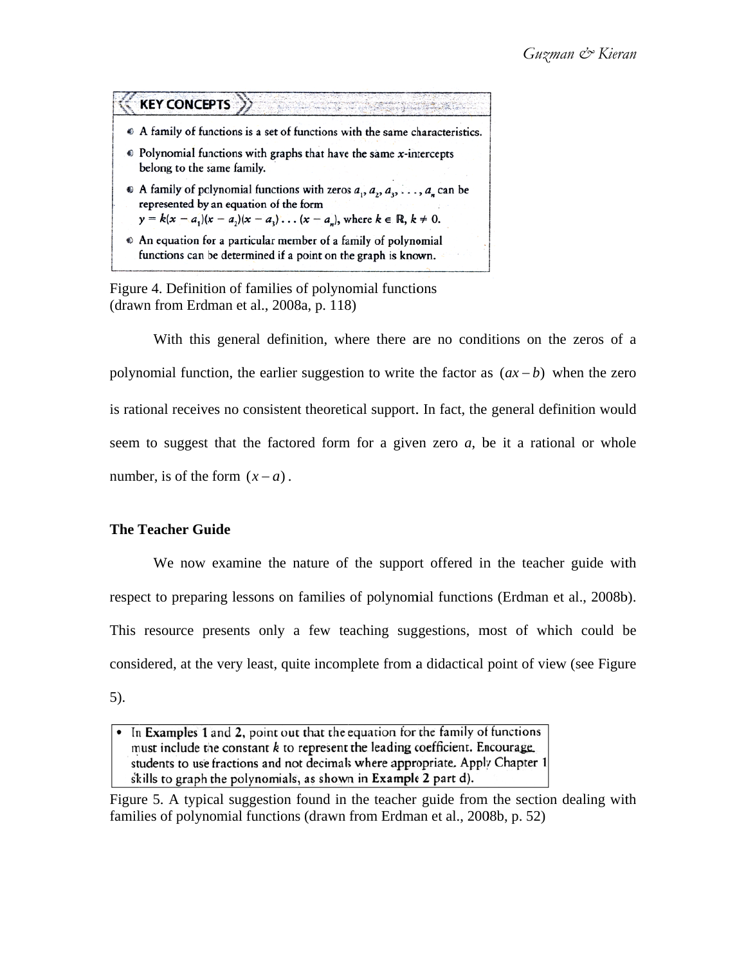

Figure 4. Definition of families of polynomial functions  $(d$ rawn from Erdman et al., 2008a, p. 118 $)$ 

polynomial function, the earlier suggestion to write the factor as  $(ax - b)$  when the zero is rational receives no consistent theoretical support. In fact, the general definition would seem to suggest that the factored form for a given zero  $a$ , be it a rational or whole number, is of the form  $(x-a)$ . With this general definition, where there are no conditions on the zeros of a

### **The T Teacher Gu uide**

respect to preparing lessons on families of polynomial functions (Erdman et al., 2008b). This resource presents only a few teaching suggestions, most of which could be considered, at the very least, quite incomplete from a didactical point of view (see Figure 5). We now examine the nature of the support offered in the teacher guide with

Figure 5. A typical suggestion found in the teacher guide from the section dealing with families of polynomial functions (drawn from Erdman et al., 2008b, p. 52)

<sup>•</sup> In Examples 1 and 2, point out that the equation for the family of functions must include the constant k to represent the leading coefficient. Encourage students to use fractions and not decimals where appropriate. Apply Chapter 1 skills to graph the polynomials, as shown in Example 2 part d).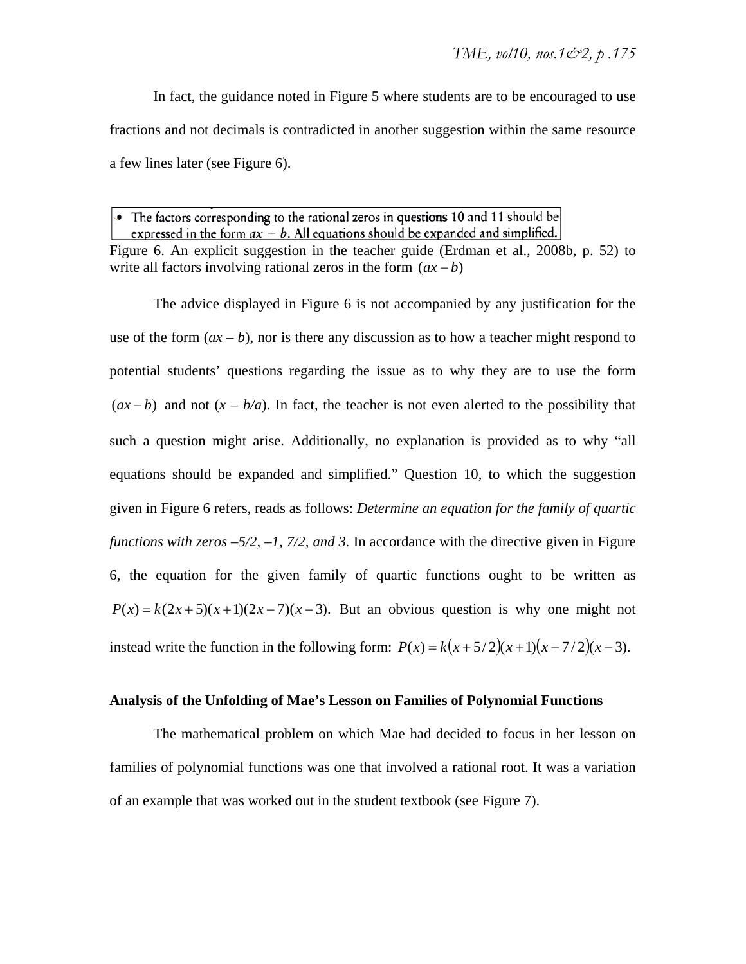In fact, the guidance noted in Figure 5 where students are to be encouraged to use fractions and not decimals is contradicted in another suggestion within the same resource a few lines later (see Figure 6).

• The factors corresponding to the rational zeros in questions 10 and 11 should be expressed in the form  $ax - b$ . All equations should be expanded and simplified. Figure 6. An explicit suggestion in the teacher guide (Erdman et al., 2008b, p. 52) to write all factors involving rational zeros in the form  $(ax - b)$ 

The advice displayed in Figure 6 is not accompanied by any justification for the use of the form  $(ax - b)$ , nor is there any discussion as to how a teacher might respond to potential students' questions regarding the issue as to why they are to use the form  $(ax - b)$  and not  $(x - b/a)$ . In fact, the teacher is not even alerted to the possibility that such a question might arise. Additionally, no explanation is provided as to why "all equations should be expanded and simplified." Question 10, to which the suggestion given in Figure 6 refers, reads as follows: *Determine an equation for the family of quartic functions with zeros –5/2, –1, 7/2, and 3.* In accordance with the directive given in Figure 6, the equation for the given family of quartic functions ought to be written as  $P(x) = k(2x+5)(x+1)(2x-7)(x-3)$ . But an obvious question is why one might not instead write the function in the following form:  $P(x) = k(x + 5/2)(x + 1)(x - 7/2)(x - 3)$ .

#### **Analysis of the Unfolding of Mae's Lesson on Families of Polynomial Functions**

The mathematical problem on which Mae had decided to focus in her lesson on families of polynomial functions was one that involved a rational root. It was a variation of an example that was worked out in the student textbook (see Figure 7).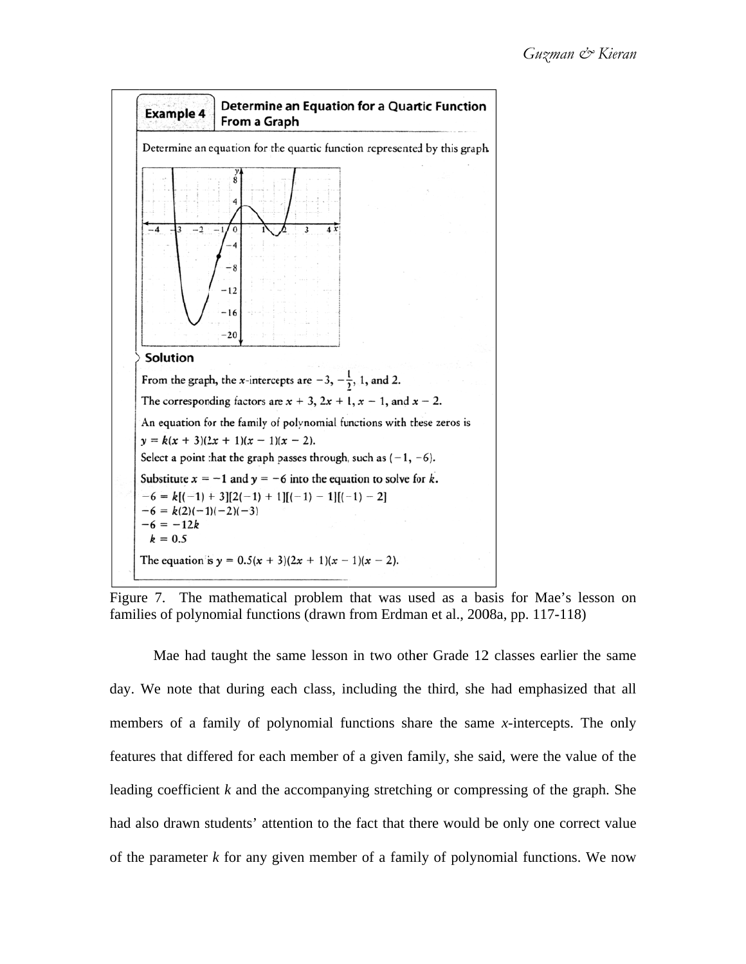

Figure 7. The mathematical problem that was used as a basis for Mae's lesson on families of polynomial functions (drawn from Erdman et al., 2008a, pp. 117-118)

day. We note that during each class, including the third, she had emphasized that all members of a family of polynomial functions share the same x-intercepts. The only features that differed for each member of a given family, she said, were the value of the leading coefficient  $k$  and the accompanying stretching or compressing of the graph. She had also drawn students' attention to the fact that there would be only one correct value of the parameter  $k$  for any given member of a family of polynomial functions. We now Mae had taught the same lesson in two other Grade 12 classes earlier the same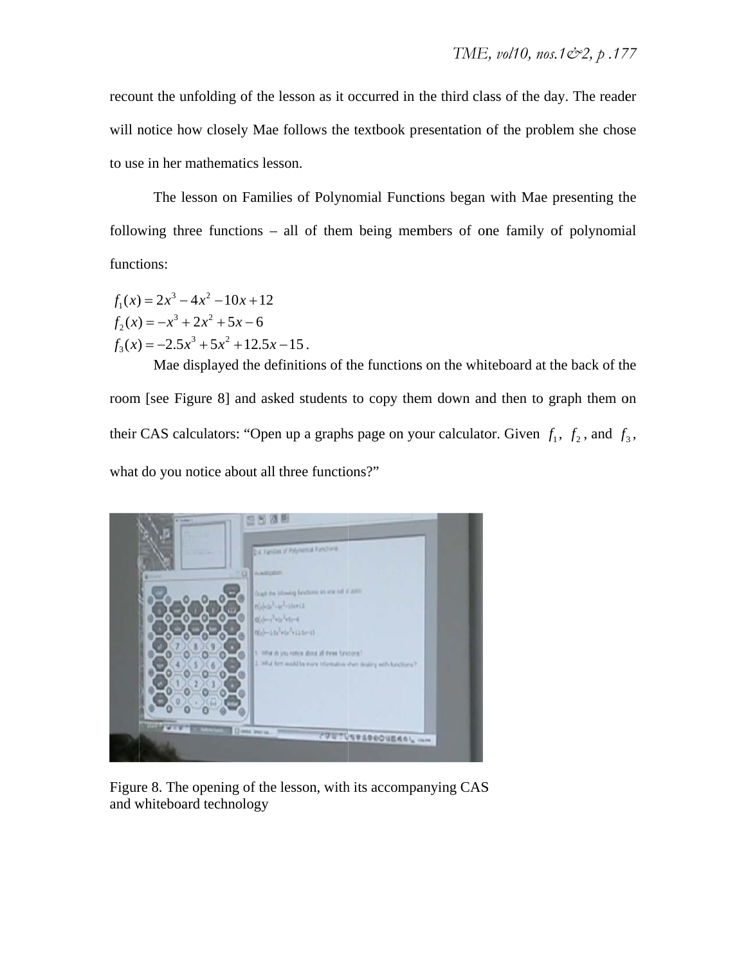recount the unfolding of the lesson as it occurred in the third class of the day. The reader will notice how closely Mae follows the textbook presentation of the problem she chose to use in her mathematics lesson.

following three functions – all of them being members of one family of polynomial functions: The lesson on Families of Polynomial Functions began with Mae presenting the

 $f_1(x) = 2x^3 - 4x^2 - 10x + 12$  $f_2(x) = -x^3 + 2x^2 + 5x - 6$  $f_3(x) = -2.5x^3 + 5x^2 + 12.5x - 15$ .

room [see Figure 8] and asked students to copy them down and then to graph them on their CAS calculators: "Open up a graphs page on your calculator. Given  $f_1$ ,  $f_2$ , and  $f_3$ , what do you notice about all three functions?" Mae displayed the definitions of the functions on the whiteboard at the back of the E<sub>1</sub>, vol10, nos. 1 $\mathcal{Q}_2$ , p. 17<br>lass of the day. The reader of the problem she chos<br>in with Mae presenting the polynomia<br>inteboard at the back of the nd then to graph them of<br>tor. Given  $f_1$ ,  $f_2$ , and  $f_3$ <br>S



Figure 8. The opening of the lesson, with its accompanying CAS and whiteboard technology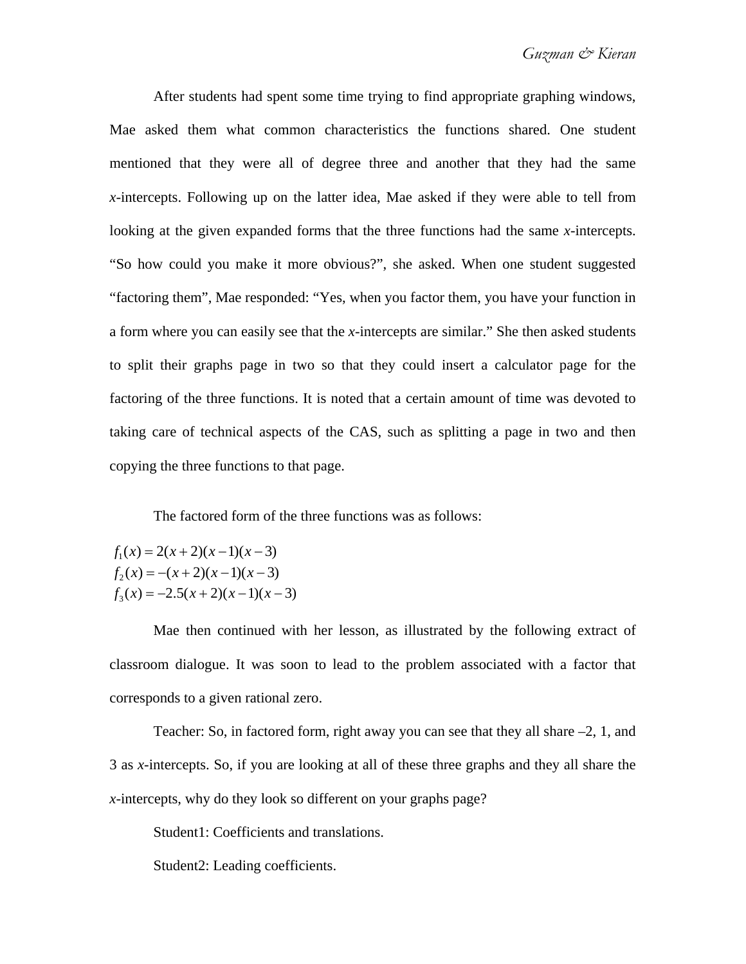After students had spent some time trying to find appropriate graphing windows, Mae asked them what common characteristics the functions shared. One student mentioned that they were all of degree three and another that they had the same *x*-intercepts. Following up on the latter idea, Mae asked if they were able to tell from looking at the given expanded forms that the three functions had the same *x*-intercepts. "So how could you make it more obvious?", she asked. When one student suggested "factoring them", Mae responded: "Yes, when you factor them, you have your function in a form where you can easily see that the *x*-intercepts are similar." She then asked students to split their graphs page in two so that they could insert a calculator page for the factoring of the three functions. It is noted that a certain amount of time was devoted to taking care of technical aspects of the CAS, such as splitting a page in two and then copying the three functions to that page.

The factored form of the three functions was as follows:

 $f_1(x) = 2(x+2)(x-1)(x-3)$  $f_2(x) = -(x+2)(x-1)(x-3)$  $f_3(x) = -2.5(x+2)(x-1)(x-3)$ 

Mae then continued with her lesson, as illustrated by the following extract of classroom dialogue. It was soon to lead to the problem associated with a factor that corresponds to a given rational zero.

Teacher: So, in factored form, right away you can see that they all share –2, 1, and 3 as *x*-intercepts. So, if you are looking at all of these three graphs and they all share the *x-*intercepts, why do they look so different on your graphs page?

Student1: Coefficients and translations.

Student2: Leading coefficients.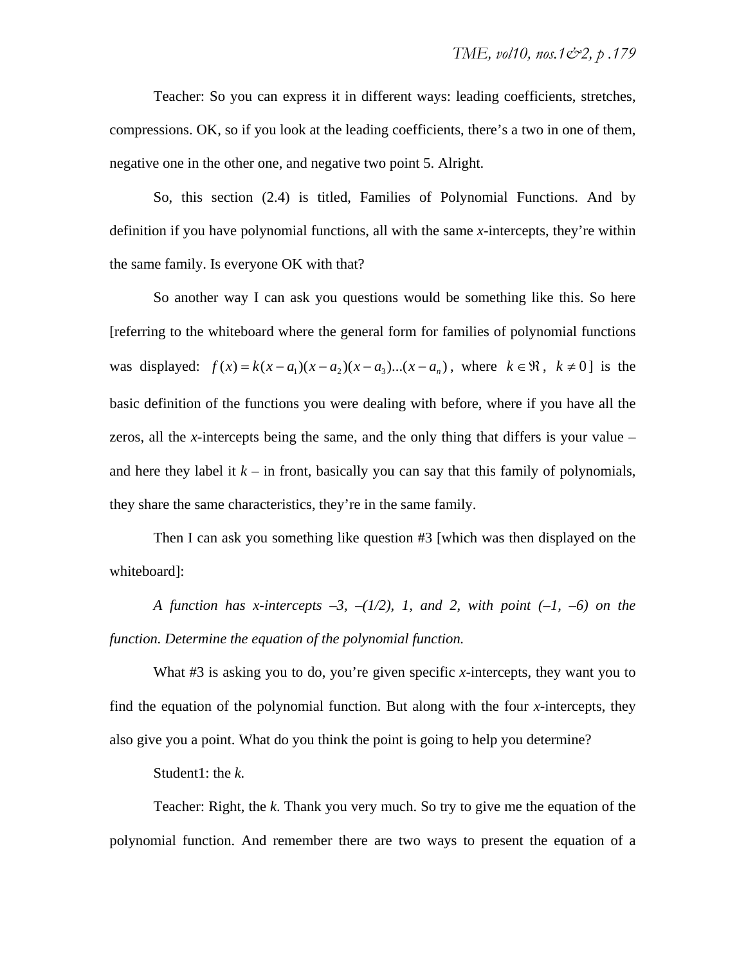Teacher: So you can express it in different ways: leading coefficients, stretches, compressions. OK, so if you look at the leading coefficients, there's a two in one of them, negative one in the other one, and negative two point 5. Alright.

So, this section (2.4) is titled, Families of Polynomial Functions. And by definition if you have polynomial functions, all with the same *x*-intercepts, they're within the same family. Is everyone OK with that?

So another way I can ask you questions would be something like this. So here [referring to the whiteboard where the general form for families of polynomial functions was displayed:  $f(x) = k(x - a_1)(x - a_2)(x - a_3)...(x - a_n)$ , where  $k \in \mathbb{R}$ ,  $k \neq 0$  is the basic definition of the functions you were dealing with before, where if you have all the zeros, all the *x*-intercepts being the same, and the only thing that differs is your value – and here they label it  $k -$  in front, basically you can say that this family of polynomials, they share the same characteristics, they're in the same family.

Then I can ask you something like question #3 [which was then displayed on the whiteboard]:

*A function has x-intercepts*  $-3$ *,*  $-1/2$ *), 1, and 2, with point (-1, -6) on the function. Determine the equation of the polynomial function.* 

What #3 is asking you to do, you're given specific *x*-intercepts, they want you to find the equation of the polynomial function. But along with the four *x*-intercepts, they also give you a point. What do you think the point is going to help you determine?

Student1: the *k.*

Teacher: Right, the *k*. Thank you very much. So try to give me the equation of the polynomial function. And remember there are two ways to present the equation of a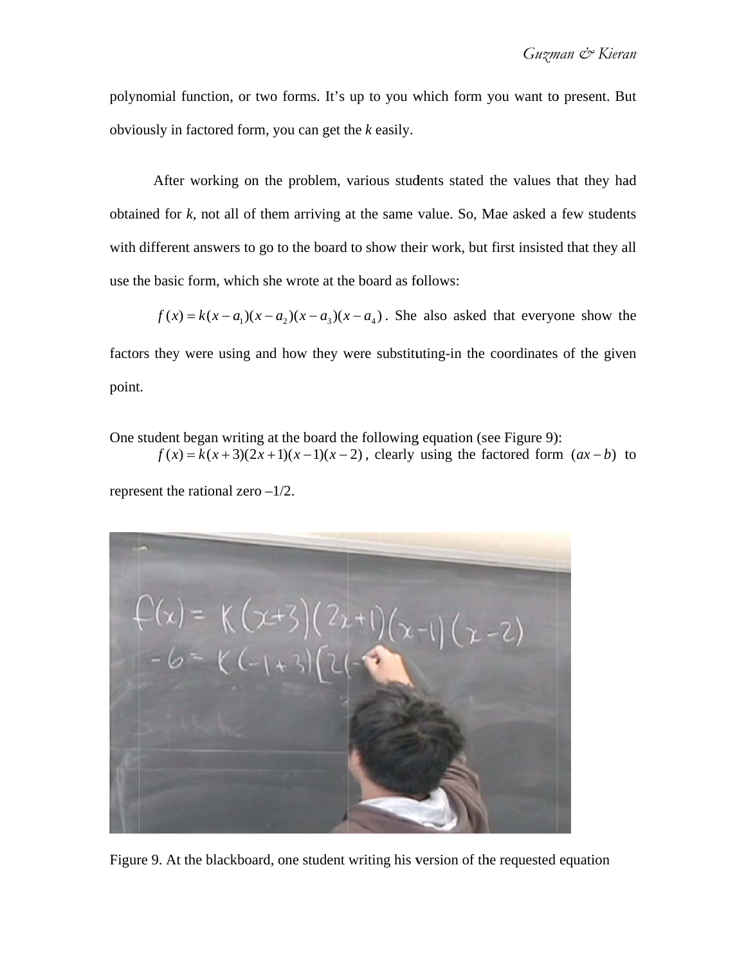polynomial function, or two forms. It's up to you which form you want to present. But obviously in factored form, you can get the *k* easily.

obtained for  $k$ , not all of them arriving at the same value. So, Mae asked a few students with different answers to go to the board to show their work, but first insisted that they all use the basic form, which she wrote at the board as follows: After working on the problem, various students stated the values that they had

 $f(x) = k(x - a_1)(x - a_2)(x - a_3)(x - a_4)$ . She also asked that everyone show the

factors they were using and how they were substituting-in the coordinates of the given point.

One student began writing at the board the following equation (see Figure 9):

 $f(x) = k(x+3)(2x+1)(x-1)(x-2)$ , clearly using the factored form  $(ax-b)$  to

represent the rational zero  $-1/2$ .



Figure 9. At the blackboard, one student writing his version of the requested equation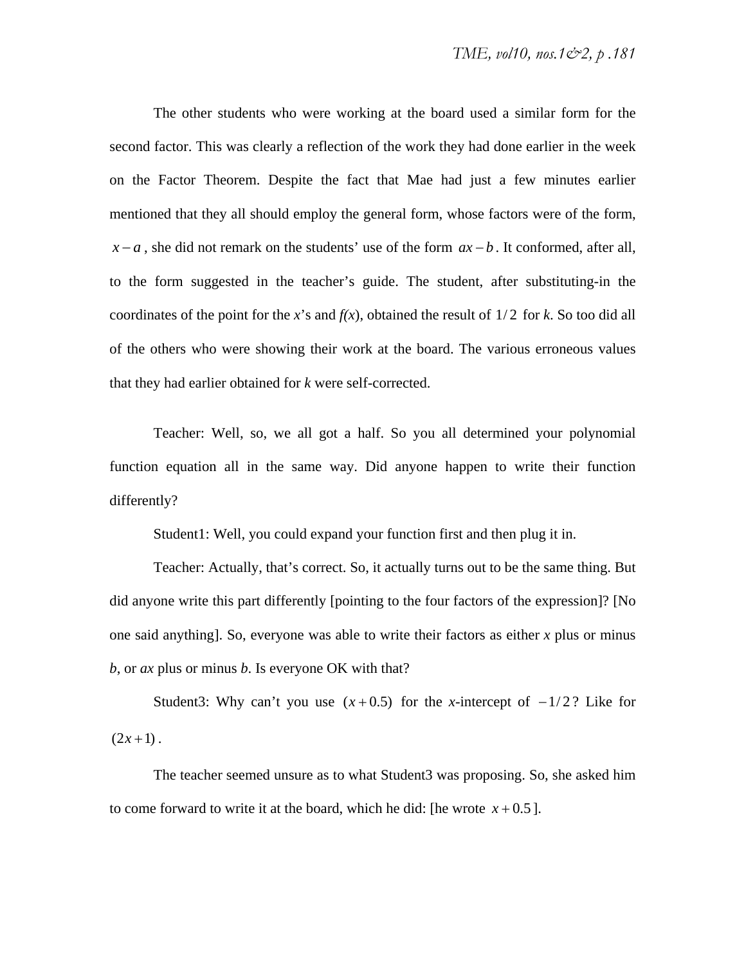The other students who were working at the board used a similar form for the second factor. This was clearly a reflection of the work they had done earlier in the week on the Factor Theorem. Despite the fact that Mae had just a few minutes earlier mentioned that they all should employ the general form, whose factors were of the form,  $x - a$ , she did not remark on the students' use of the form  $ax - b$ . It conformed, after all, to the form suggested in the teacher's guide. The student, after substituting-in the coordinates of the point for the *x*'s and  $f(x)$ , obtained the result of 1/2 for *k*. So too did all of the others who were showing their work at the board. The various erroneous values that they had earlier obtained for *k* were self-corrected.

Teacher: Well, so, we all got a half. So you all determined your polynomial function equation all in the same way. Did anyone happen to write their function differently?

Student1: Well, you could expand your function first and then plug it in.

Teacher: Actually, that's correct. So, it actually turns out to be the same thing. But did anyone write this part differently [pointing to the four factors of the expression]? [No one said anything]. So, everyone was able to write their factors as either *x* plus or minus *b*, or *ax* plus or minus *b*. Is everyone OK with that?

Student3: Why can't you use  $(x+0.5)$  for the *x*-intercept of  $-1/2$ ? Like for  $(2x+1)$ .

The teacher seemed unsure as to what Student3 was proposing. So, she asked him to come forward to write it at the board, which he did: [he wrote  $x + 0.5$ ].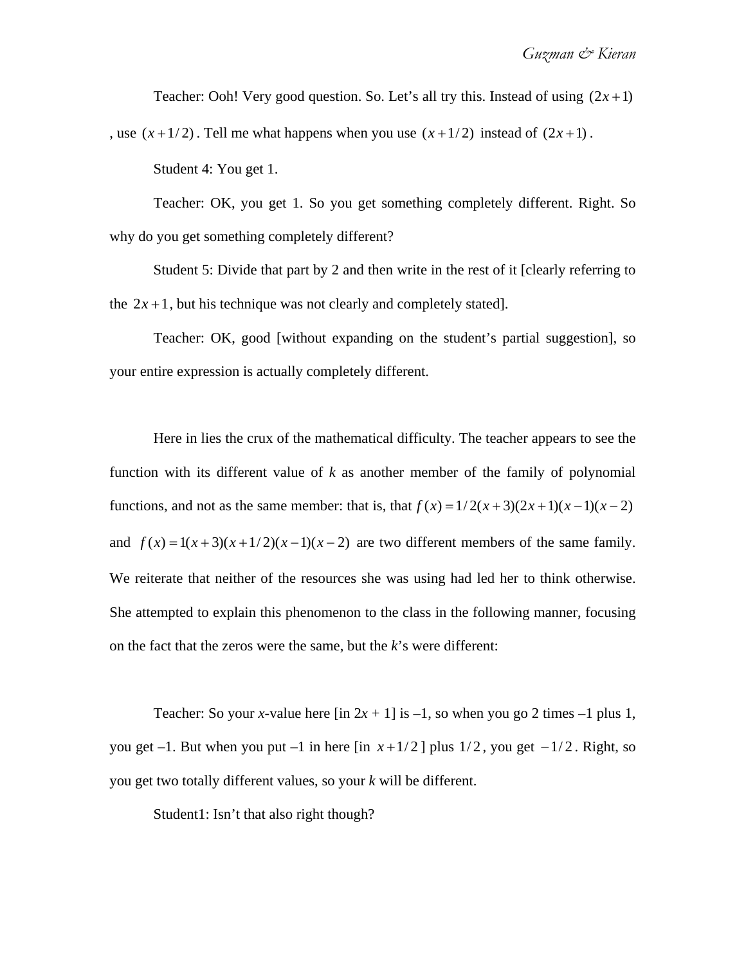Teacher: Ooh! Very good question. So. Let's all try this. Instead of using  $(2x+1)$ 

, use  $(x+1/2)$ . Tell me what happens when you use  $(x+1/2)$  instead of  $(2x+1)$ .

Student 4: You get 1.

Teacher: OK, you get 1. So you get something completely different. Right. So why do you get something completely different?

Student 5: Divide that part by 2 and then write in the rest of it [clearly referring to the  $2x+1$ , but his technique was not clearly and completely stated].

Teacher: OK, good [without expanding on the student's partial suggestion], so your entire expression is actually completely different.

Here in lies the crux of the mathematical difficulty. The teacher appears to see the function with its different value of *k* as another member of the family of polynomial functions, and not as the same member: that is, that  $f(x) = 1/2(x+3)(2x+1)(x-1)(x-2)$ and  $f(x) = 1(x+3)(x+1/2)(x-1)(x-2)$  are two different members of the same family. We reiterate that neither of the resources she was using had led her to think otherwise. She attempted to explain this phenomenon to the class in the following manner, focusing on the fact that the zeros were the same, but the *k*'s were different:

Teacher: So your *x*-value here  $\left[\text{in } 2x + 1\right]$  is  $-1$ , so when you go 2 times  $-1$  plus 1, you get  $-1$ . But when you put  $-1$  in here  $\left[\ln x + \frac{1}{2}\right]$  plus  $\frac{1}{2}$ , you get  $-\frac{1}{2}$ . Right, so you get two totally different values, so your *k* will be different.

Student1: Isn't that also right though?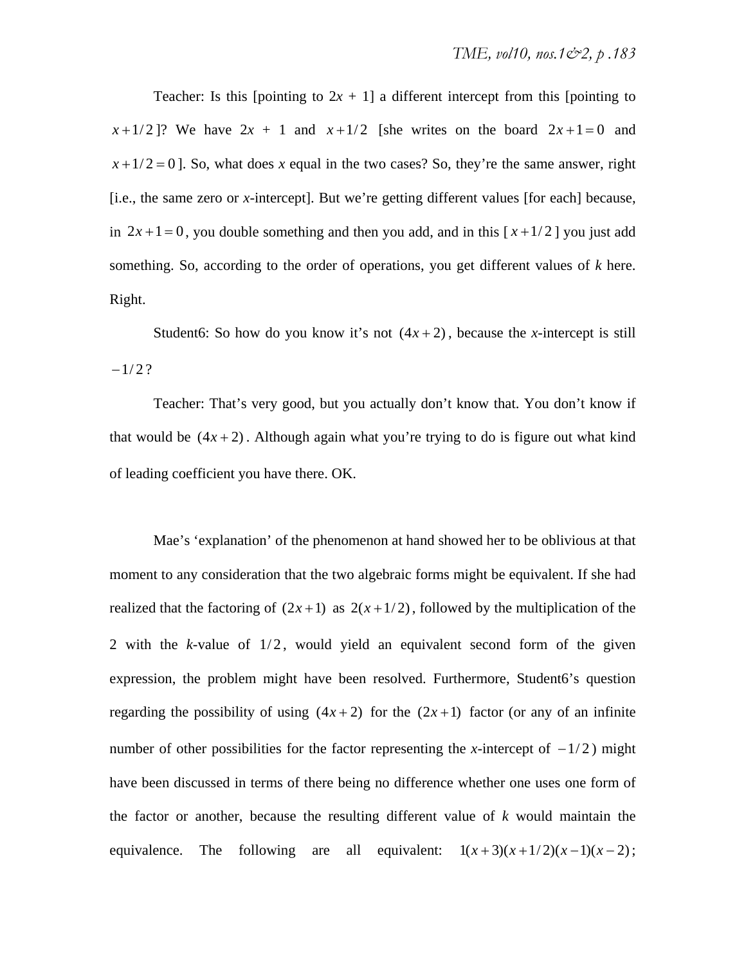Teacher: Is this [pointing to  $2x + 1$ ] a different intercept from this [pointing to  $x+1/2$ ? We have  $2x + 1$  and  $x+1/2$  [she writes on the board  $2x+1=0$  and  $x+1/2=0$ . So, what does *x* equal in the two cases? So, they're the same answer, right [i.e., the same zero or *x*-intercept]. But we're getting different values [for each] because, in  $2x+1=0$ , you double something and then you add, and in this  $[x+1/2]$  you just add something. So, according to the order of operations, you get different values of *k* here. Right.

Student6: So how do you know it's not  $(4x + 2)$ , because the *x*-intercept is still  $-1/2?$ 

Teacher: That's very good, but you actually don't know that. You don't know if that would be  $(4x + 2)$ . Although again what you're trying to do is figure out what kind of leading coefficient you have there. OK.

Mae's 'explanation' of the phenomenon at hand showed her to be oblivious at that moment to any consideration that the two algebraic forms might be equivalent. If she had realized that the factoring of  $(2x+1)$  as  $2(x+1/2)$ , followed by the multiplication of the 2 with the  $k$ -value of  $1/2$ , would yield an equivalent second form of the given expression, the problem might have been resolved. Furthermore, Student6's question regarding the possibility of using  $(4x+2)$  for the  $(2x+1)$  factor (or any of an infinite number of other possibilities for the factor representing the *x*-intercept of  $-1/2$  ) might have been discussed in terms of there being no difference whether one uses one form of the factor or another, because the resulting different value of *k* would maintain the equivalence. The following are all equivalent:  $1(x+3)(x+1/2)(x-1)(x-2)$ ;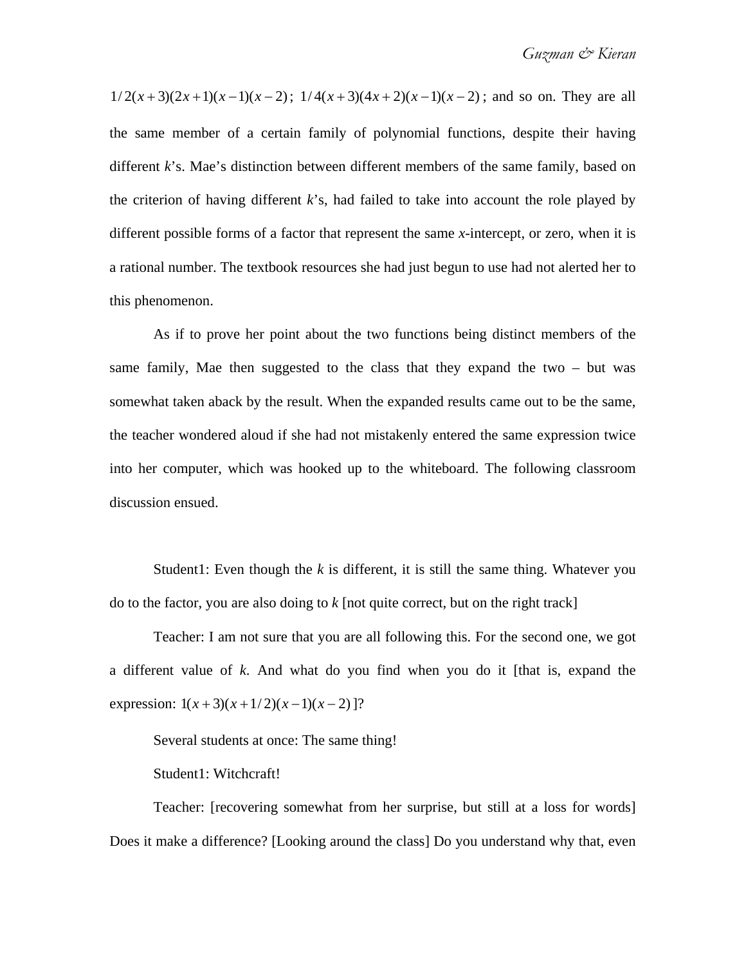$1/2(x+3)(2x+1)(x-1)(x-2)$ ;  $1/4(x+3)(4x+2)(x-1)(x-2)$ ; and so on. They are all the same member of a certain family of polynomial functions, despite their having different *k*'s. Mae's distinction between different members of the same family, based on the criterion of having different *k*'s, had failed to take into account the role played by different possible forms of a factor that represent the same *x*-intercept, or zero, when it is a rational number. The textbook resources she had just begun to use had not alerted her to this phenomenon.

As if to prove her point about the two functions being distinct members of the same family, Mae then suggested to the class that they expand the two – but was somewhat taken aback by the result. When the expanded results came out to be the same, the teacher wondered aloud if she had not mistakenly entered the same expression twice into her computer, which was hooked up to the whiteboard. The following classroom discussion ensued.

Student1: Even though the *k* is different, it is still the same thing. Whatever you do to the factor, you are also doing to *k* [not quite correct, but on the right track]

Teacher: I am not sure that you are all following this. For the second one, we got a different value of *k*. And what do you find when you do it [that is, expand the expression:  $1(x+3)(x+1/2)(x-1)(x-2)$ ]?

Several students at once: The same thing!

Student1: Witchcraft!

Teacher: [recovering somewhat from her surprise, but still at a loss for words] Does it make a difference? [Looking around the class] Do you understand why that, even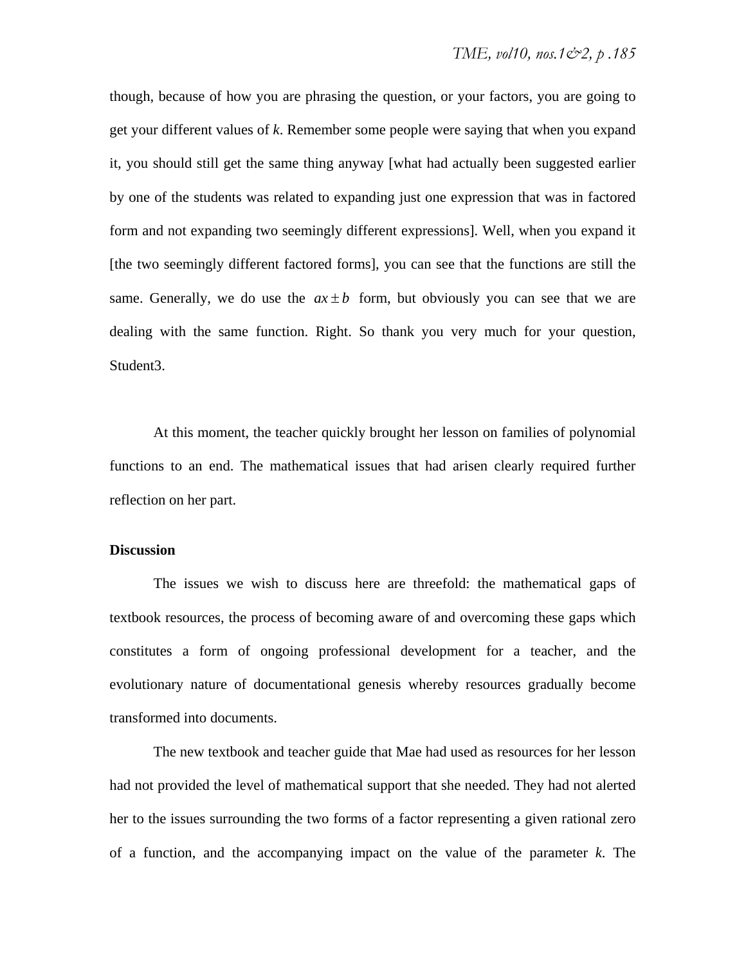though, because of how you are phrasing the question, or your factors, you are going to get your different values of *k*. Remember some people were saying that when you expand it, you should still get the same thing anyway [what had actually been suggested earlier by one of the students was related to expanding just one expression that was in factored form and not expanding two seemingly different expressions]. Well, when you expand it [the two seemingly different factored forms], you can see that the functions are still the same. Generally, we do use the  $ax \pm b$  form, but obviously you can see that we are dealing with the same function. Right. So thank you very much for your question, Student3.

At this moment, the teacher quickly brought her lesson on families of polynomial functions to an end. The mathematical issues that had arisen clearly required further reflection on her part.

#### **Discussion**

The issues we wish to discuss here are threefold: the mathematical gaps of textbook resources, the process of becoming aware of and overcoming these gaps which constitutes a form of ongoing professional development for a teacher, and the evolutionary nature of documentational genesis whereby resources gradually become transformed into documents.

The new textbook and teacher guide that Mae had used as resources for her lesson had not provided the level of mathematical support that she needed. They had not alerted her to the issues surrounding the two forms of a factor representing a given rational zero of a function, and the accompanying impact on the value of the parameter *k*. The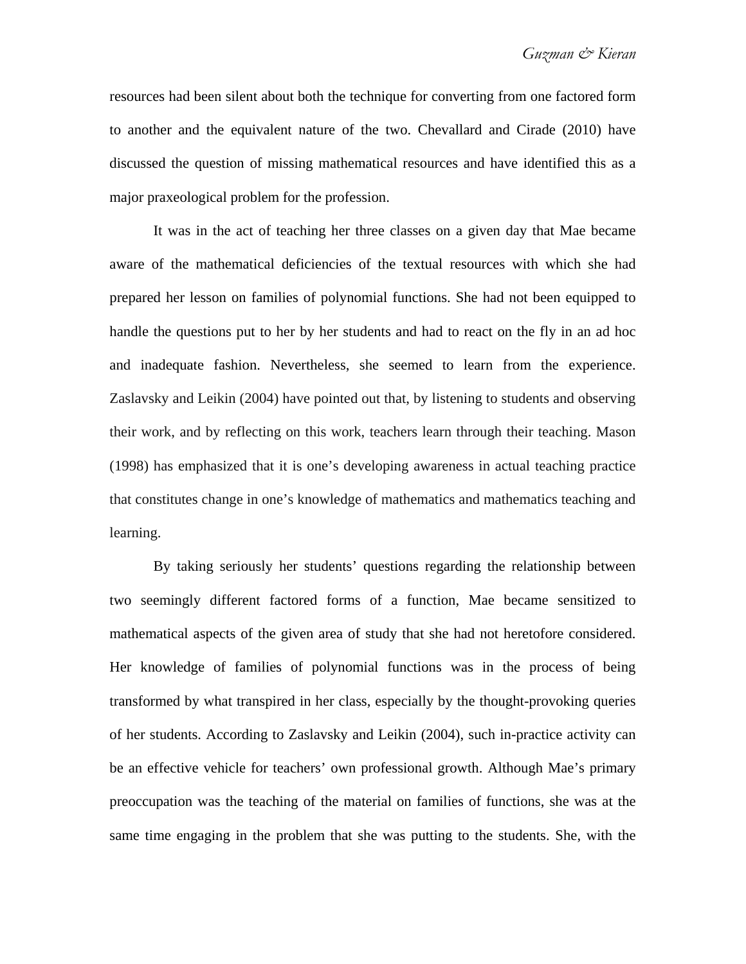resources had been silent about both the technique for converting from one factored form to another and the equivalent nature of the two. Chevallard and Cirade (2010) have discussed the question of missing mathematical resources and have identified this as a major praxeological problem for the profession.

It was in the act of teaching her three classes on a given day that Mae became aware of the mathematical deficiencies of the textual resources with which she had prepared her lesson on families of polynomial functions. She had not been equipped to handle the questions put to her by her students and had to react on the fly in an ad hoc and inadequate fashion. Nevertheless, she seemed to learn from the experience. Zaslavsky and Leikin (2004) have pointed out that, by listening to students and observing their work, and by reflecting on this work, teachers learn through their teaching. Mason (1998) has emphasized that it is one's developing awareness in actual teaching practice that constitutes change in one's knowledge of mathematics and mathematics teaching and learning.

By taking seriously her students' questions regarding the relationship between two seemingly different factored forms of a function, Mae became sensitized to mathematical aspects of the given area of study that she had not heretofore considered. Her knowledge of families of polynomial functions was in the process of being transformed by what transpired in her class, especially by the thought-provoking queries of her students. According to Zaslavsky and Leikin (2004), such in-practice activity can be an effective vehicle for teachers' own professional growth. Although Mae's primary preoccupation was the teaching of the material on families of functions, she was at the same time engaging in the problem that she was putting to the students. She, with the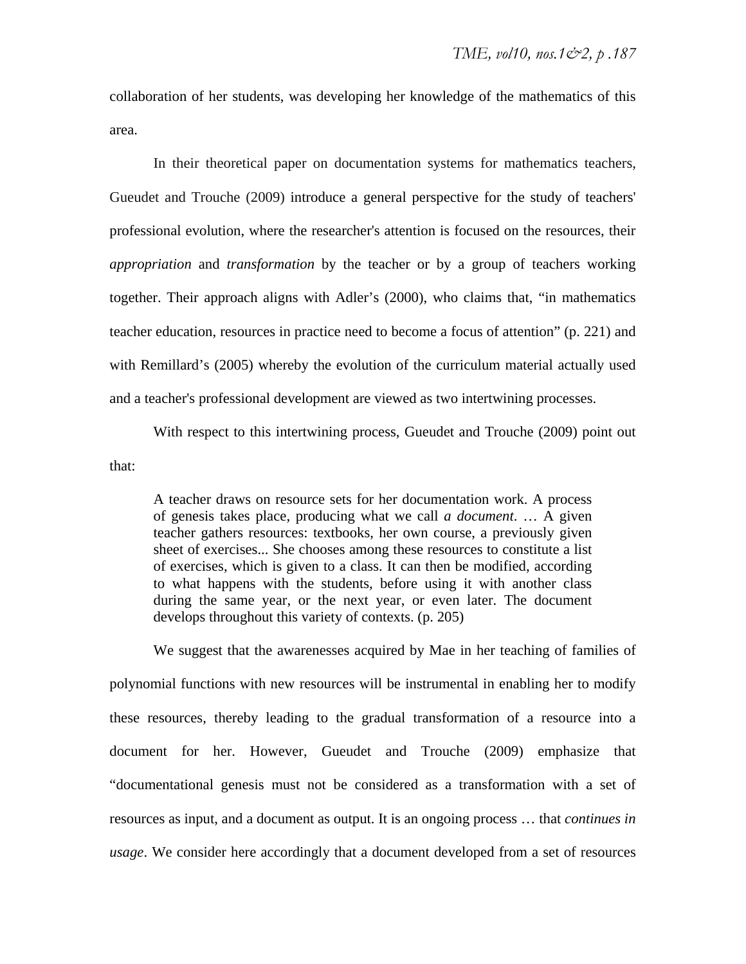collaboration of her students, was developing her knowledge of the mathematics of this area.

In their theoretical paper on documentation systems for mathematics teachers, Gueudet and Trouche (2009) introduce a general perspective for the study of teachers' professional evolution, where the researcher's attention is focused on the resources, their *appropriation* and *transformation* by the teacher or by a group of teachers working together. Their approach aligns with Adler's (2000), who claims that, "in mathematics teacher education, resources in practice need to become a focus of attention" (p. 221) and with Remillard's (2005) whereby the evolution of the curriculum material actually used and a teacher's professional development are viewed as two intertwining processes.

With respect to this intertwining process, Gueudet and Trouche (2009) point out that:

A teacher draws on resource sets for her documentation work. A process of genesis takes place, producing what we call *a document*. … A given teacher gathers resources: textbooks, her own course, a previously given sheet of exercises... She chooses among these resources to constitute a list of exercises, which is given to a class. It can then be modified, according to what happens with the students, before using it with another class during the same year, or the next year, or even later. The document develops throughout this variety of contexts. (p. 205)

We suggest that the awarenesses acquired by Mae in her teaching of families of polynomial functions with new resources will be instrumental in enabling her to modify these resources, thereby leading to the gradual transformation of a resource into a document for her. However, Gueudet and Trouche (2009) emphasize that "documentational genesis must not be considered as a transformation with a set of resources as input, and a document as output. It is an ongoing process … that *continues in usage*. We consider here accordingly that a document developed from a set of resources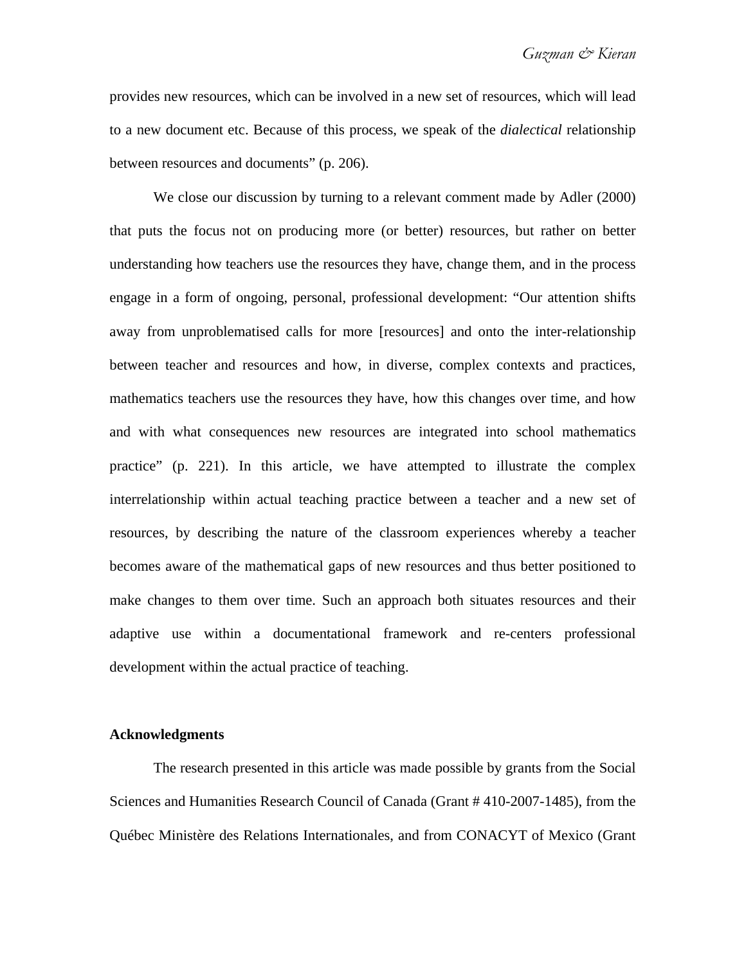provides new resources, which can be involved in a new set of resources, which will lead to a new document etc. Because of this process, we speak of the *dialectical* relationship between resources and documents" (p. 206).

We close our discussion by turning to a relevant comment made by Adler (2000) that puts the focus not on producing more (or better) resources, but rather on better understanding how teachers use the resources they have, change them, and in the process engage in a form of ongoing, personal, professional development: "Our attention shifts away from unproblematised calls for more [resources] and onto the inter-relationship between teacher and resources and how, in diverse, complex contexts and practices, mathematics teachers use the resources they have, how this changes over time, and how and with what consequences new resources are integrated into school mathematics practice" (p. 221). In this article, we have attempted to illustrate the complex interrelationship within actual teaching practice between a teacher and a new set of resources, by describing the nature of the classroom experiences whereby a teacher becomes aware of the mathematical gaps of new resources and thus better positioned to make changes to them over time. Such an approach both situates resources and their adaptive use within a documentational framework and re-centers professional development within the actual practice of teaching.

#### **Acknowledgments**

The research presented in this article was made possible by grants from the Social Sciences and Humanities Research Council of Canada (Grant # 410-2007-1485), from the Québec Ministère des Relations Internationales, and from CONACYT of Mexico (Grant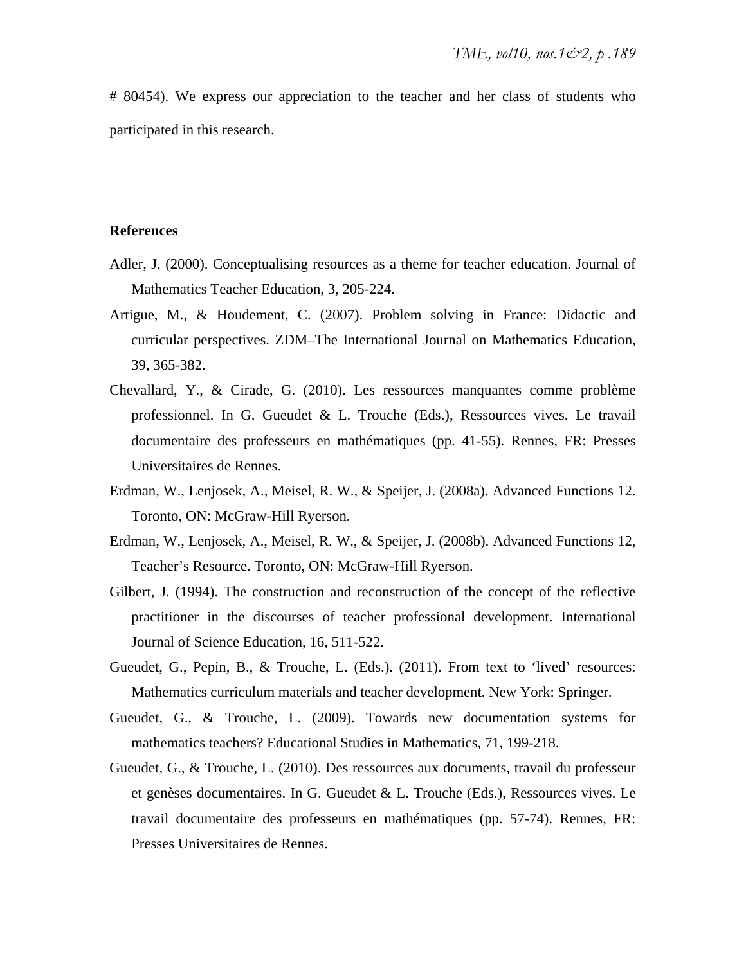# 80454). We express our appreciation to the teacher and her class of students who participated in this research.

#### **References**

- Adler, J. (2000). Conceptualising resources as a theme for teacher education. Journal of Mathematics Teacher Education, 3, 205-224.
- Artigue, M., & Houdement, C. (2007). Problem solving in France: Didactic and curricular perspectives. ZDM–The International Journal on Mathematics Education, 39, 365-382.
- Chevallard, Y., & Cirade, G. (2010). Les ressources manquantes comme problème professionnel. In G. Gueudet & L. Trouche (Eds.), Ressources vives. Le travail documentaire des professeurs en mathématiques (pp. 41-55). Rennes, FR: Presses Universitaires de Rennes.
- Erdman, W., Lenjosek, A., Meisel, R. W., & Speijer, J. (2008a). Advanced Functions 12. Toronto, ON: McGraw-Hill Ryerson.
- Erdman, W., Lenjosek, A., Meisel, R. W., & Speijer, J. (2008b). Advanced Functions 12, Teacher's Resource. Toronto, ON: McGraw-Hill Ryerson.
- Gilbert, J. (1994). The construction and reconstruction of the concept of the reflective practitioner in the discourses of teacher professional development. International Journal of Science Education, 16, 511-522.
- Gueudet, G., Pepin, B., & Trouche, L. (Eds.). (2011). From text to 'lived' resources: Mathematics curriculum materials and teacher development. New York: Springer.
- Gueudet, G., & Trouche, L. (2009). Towards new documentation systems for mathematics teachers? Educational Studies in Mathematics, 71, 199-218.
- Gueudet, G., & Trouche, L. (2010). Des ressources aux documents, travail du professeur et genèses documentaires. In G. Gueudet & L. Trouche (Eds.), Ressources vives. Le travail documentaire des professeurs en mathématiques (pp. 57-74). Rennes, FR: Presses Universitaires de Rennes.